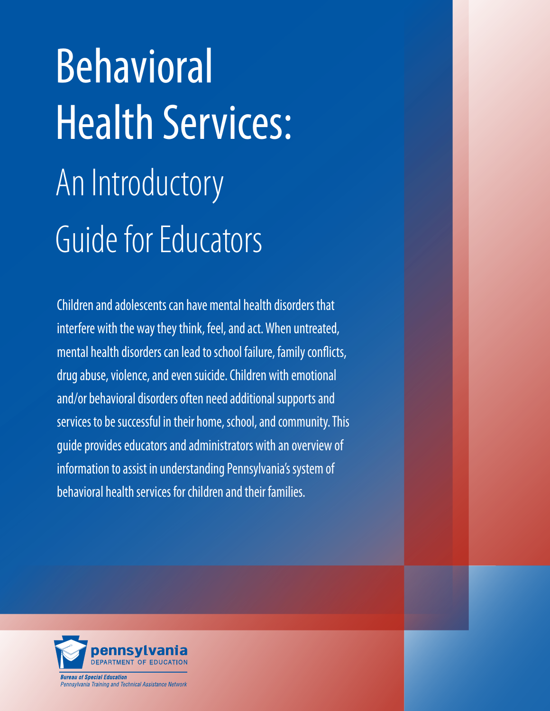# Behavioral Health Services: An Introductory Guide for Educators

Children and adolescents can have mental health disorders that interfere with the way they think, feel, and act. When untreated, mental health disorders can lead to school failure, family conflicts, drug abuse, violence, and even suicide. Children with emotional and/or behavioral disorders often need additional supports and services to be successful in their home, school, and community. This guide provides educators and administrators with an overview of information to assist in understanding Pennsylvania's system of behavioral health services for children and their families.

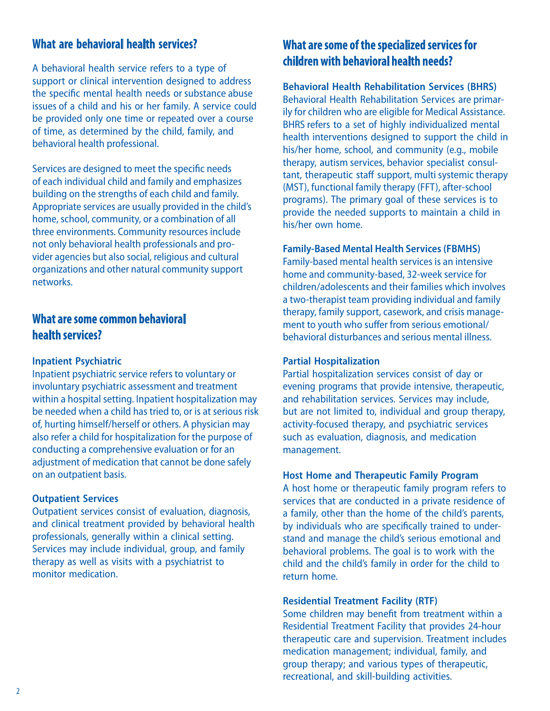## **What are behavioral health services?**

A behavioral health service refers to a type of support or clinical intervention designed to address the specific mental health needs or substance abuse issues of a child and his or her family. A service could be provided only one time or repeated over a course of time, as determined by the child, family, and behavioral health professional.

Services are designed to meet the specific needs of each individual child and family and emphasizes building on the strengths of each child and family. Appropriate services are usually provided in the child's home, school, community, or a combination of all three environments. Community resources include not only behavioral health professionals and provider agencies but also social, religious and cultural organizations and other natural community support networks.

## **What are some common behavioral health services?**

#### **Inpatient Psychiatric**

Inpatient psychiatric service refers to voluntary or involuntary psychiatric assessment and treatment within a hospital setting. Inpatient hospitalization may be needed when a child has tried to, or is at serious risk of, hurting himself/herself or others. A physician may also refer a child for hospitalization for the purpose of conducting a comprehensive evaluation or for an adjustment of medication that cannot be done safely on an outpatient basis.

#### **Outpatient Services**

Outpatient services consist of evaluation, diagnosis, and clinical treatment provided by behavioral health professionals, generally within a clinical setting. Services may include individual, group, and family therapy as well as visits with a psychiatrist to monitor medication.

# **What are some of the specialized services for children with behavioral health needs?**

**Behavioral Health Rehabilitation Services (BHRS)** Behavioral Health Rehabilitation Services are primarily for children who are eligible for Medical Assistance. BHRS refers to a set of highly individualized mental health interventions designed to support the child in his/her home, school, and community (e.g., mobile therapy, autism services, behavior specialist consultant, therapeutic staff support, multi systemic therapy (MST), functional family therapy (FFT), after-school programs). The primary goal of these services is to provide the needed supports to maintain a child in his/her own home.

#### **Family-Based Mental Health Services (FBMHS)**

Family-based mental health services is an intensive home and community-based, 32-week service for children/adolescents and their families which involves a two-therapist team providing individual and family therapy, family support, casework, and crisis management to youth who suffer from serious emotional/ behavioral disturbances and serious mental illness.

#### **Partial Hospitalization**

Partial hospitalization services consist of day or evening programs that provide intensive, therapeutic, and rehabilitation services. Services may include, but are not limited to, individual and group therapy, activity-focused therapy, and psychiatric services such as evaluation, diagnosis, and medication management.

#### **Host Home and Therapeutic Family Program**

A host home or therapeutic family program refers to services that are conducted in a private residence of a family, other than the home of the child's parents, by individuals who are specifically trained to understand and manage the child's serious emotional and behavioral problems. The goal is to work with the child and the child's family in order for the child to return home.

#### **Residential Treatment Facility (RTF)**

Some children may benefit from treatment within a Residential Treatment Facility that provides 24-hour therapeutic care and supervision. Treatment includes medication management; individual, family, and group therapy; and various types of therapeutic, recreational, and skill-building activities.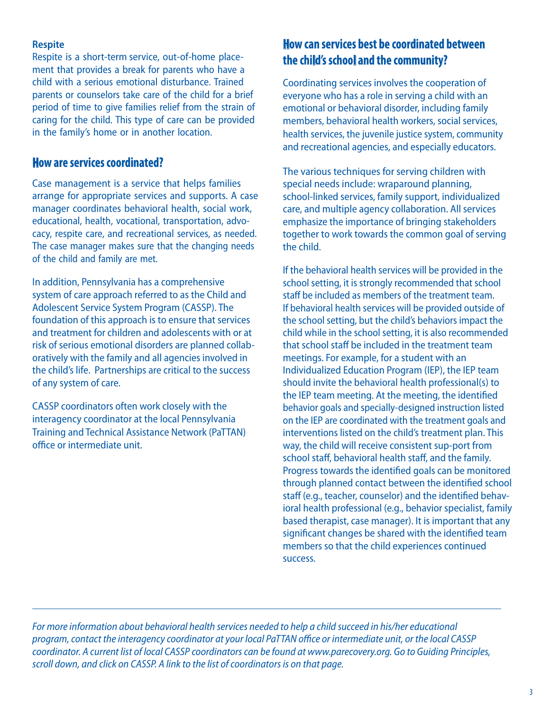### **Respite**

Respite is a short-term service, out-of-home placement that provides a break for parents who have a child with a serious emotional disturbance. Trained parents or counselors take care of the child for a brief period of time to give families relief from the strain of caring for the child. This type of care can be provided in the family's home or in another location.

## **How are services coordinated?**

Case management is a service that helps families arrange for appropriate services and supports. A case manager coordinates behavioral health, social work, educational, health, vocational, transportation, advocacy, respite care, and recreational services, as needed. The case manager makes sure that the changing needs of the child and family are met.

In addition, Pennsylvania has a comprehensive system of care approach referred to as the Child and Adolescent Service System Program (CASSP). The foundation of this approach is to ensure that services and treatment for children and adolescents with or at risk of serious emotional disorders are planned collaboratively with the family and all agencies involved in the child's life. Partnerships are critical to the success of any system of care.

CASSP coordinators often work closely with the interagency coordinator at the local Pennsylvania Training and Technical Assistance Network (PaTTAN) office or intermediate unit.

# **How can services best be coordinated between the child's school and the community?**

Coordinating services involves the cooperation of everyone who has a role in serving a child with an emotional or behavioral disorder, including family members, behavioral health workers, social services, health services, the juvenile justice system, community and recreational agencies, and especially educators.

The various techniques for serving children with special needs include: wraparound planning, school-linked services, family support, individualized care, and multiple agency collaboration. All services emphasize the importance of bringing stakeholders together to work towards the common goal of serving the child.

If the behavioral health services will be provided in the school setting, it is strongly recommended that school staff be included as members of the treatment team. If behavioral health services will be provided outside of the school setting, but the child's behaviors impact the child while in the school setting, it is also recommended that school staff be included in the treatment team meetings. For example, for a student with an Individualized Education Program (IEP), the IEP team should invite the behavioral health professional(s) to the IEP team meeting. At the meeting, the identified behavior goals and specially-designed instruction listed on the IEP are coordinated with the treatment goals and interventions listed on the child's treatment plan. This way, the child will receive consistent sup-port from school staff, behavioral health staff, and the family. Progress towards the identified goals can be monitored through planned contact between the identified school staff (e.g., teacher, counselor) and the identified behavioral health professional (e.g., behavior specialist, family based therapist, case manager). It is important that any significant changes be shared with the identified team members so that the child experiences continued success.

*For more information about behavioral health services needed to help a child succeed in his/her educational program, contact the interagency coordinator at your local PaTTAN office or intermediate unit, or the local CASSP coordinator. A current list of local CASSP coordinators can be found at www.parecovery.org. Go to Guiding Principles, scroll down, and click on CASSP. A link to the list of coordinators is on that page.*